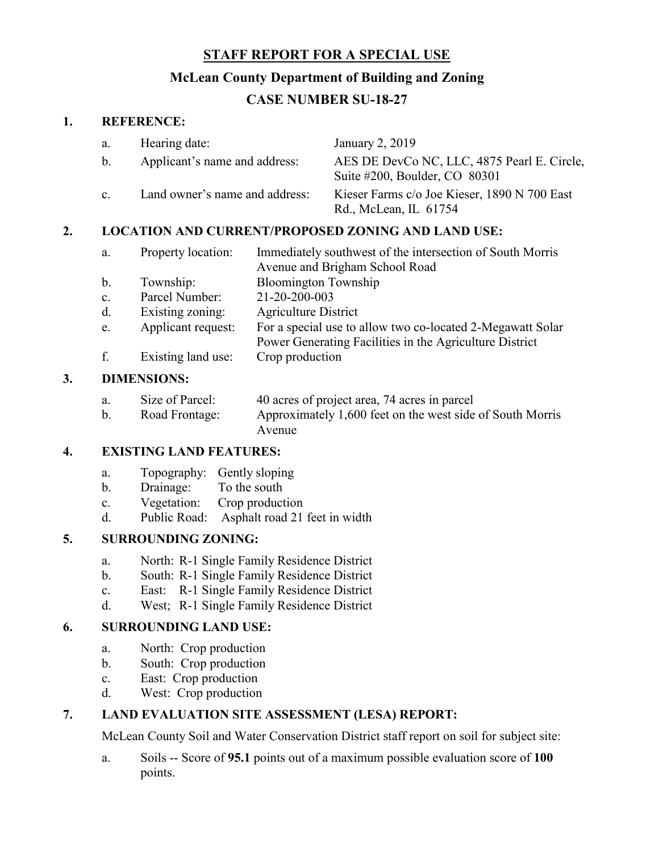## **STAFF REPORT FOR A SPECIAL USE**

### **McLean County Department of Building and Zoning**

# **CASE NUMBER SU-18-27**

#### **1. REFERENCE:**

|    | a.                                                        | Hearing date:                  |                                                                                             | January 2, 2019                                                              |  |
|----|-----------------------------------------------------------|--------------------------------|---------------------------------------------------------------------------------------------|------------------------------------------------------------------------------|--|
|    | b.                                                        | Applicant's name and address:  |                                                                                             | AES DE DevCo NC, LLC, 4875 Pearl E. Circle,<br>Suite #200, Boulder, CO 80301 |  |
|    | C <sub>1</sub>                                            | Land owner's name and address: |                                                                                             | Kieser Farms c/o Joe Kieser, 1890 N 700 East<br>Rd., McLean, IL 61754        |  |
| 2. | <b>LOCATION AND CURRENT/PROPOSED ZONING AND LAND USE:</b> |                                |                                                                                             |                                                                              |  |
|    | a.                                                        | Property location:             | Immediately southwest of the intersection of South Morris<br>Avenue and Brigham School Road |                                                                              |  |
|    | b.                                                        | Township:                      | <b>Bloomington Township</b>                                                                 |                                                                              |  |

- c. Parcel Number: 21-20-200-003
- d. Existing zoning: Agriculture District
- e. Applicant request: For a special use to allow two co-located 2-Megawatt Solar
	- Power Generating Facilities in the Agriculture District
- f. Existing land use: Crop production

#### **3. DIMENSIONS:**

| a. | Size of Parcel: | 40 acres of project area, 74 acres in parcel              |
|----|-----------------|-----------------------------------------------------------|
|    | Road Frontage:  | Approximately 1,600 feet on the west side of South Morris |
|    |                 | Avenue                                                    |

### **4. EXISTING LAND FEATURES:**

- a. Topography: Gently sloping
- b. Drainage: To the south
- c. Vegetation: Crop production
- d. Public Road: Asphalt road 21 feet in width

### **5. SURROUNDING ZONING:**

- a. North: R-1 Single Family Residence District
- b. South: R-1 Single Family Residence District
- c. East: R-1 Single Family Residence District
- d. West; R-1 Single Family Residence District

#### **6. SURROUNDING LAND USE:**

- a. North: Crop production
- b. South: Crop production
- c. East: Crop production
- d. West: Crop production

#### **7. LAND EVALUATION SITE ASSESSMENT (LESA) REPORT:**

McLean County Soil and Water Conservation District staff report on soil for subject site:

a. Soils -- Score of **95.1** points out of a maximum possible evaluation score of **100** points.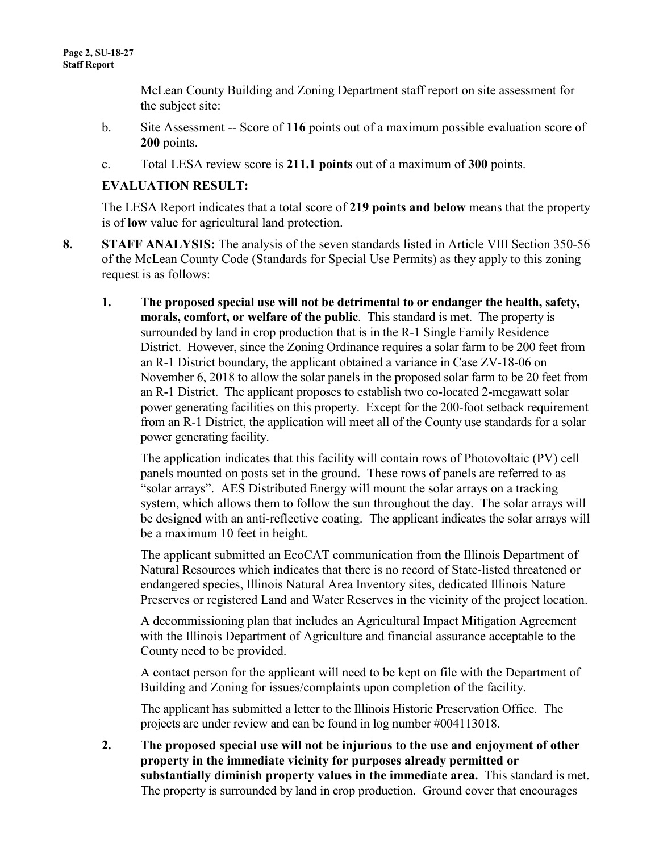McLean County Building and Zoning Department staff report on site assessment for the subject site:

- b. Site Assessment -- Score of **116** points out of a maximum possible evaluation score of **200** points.
- c. Total LESA review score is **211.1 points** out of a maximum of **300** points.

### **EVALUATION RESULT:**

The LESA Report indicates that a total score of **219 points and below** means that the property is of **low** value for agricultural land protection.

- **8. STAFF ANALYSIS:** The analysis of the seven standards listed in Article VIII Section 350-56 of the McLean County Code (Standards for Special Use Permits) as they apply to this zoning request is as follows:
	- **1. The proposed special use will not be detrimental to or endanger the health, safety, morals, comfort, or welfare of the public**. This standard is met. The property is surrounded by land in crop production that is in the R-1 Single Family Residence District. However, since the Zoning Ordinance requires a solar farm to be 200 feet from an R-1 District boundary, the applicant obtained a variance in Case ZV-18-06 on November 6, 2018 to allow the solar panels in the proposed solar farm to be 20 feet from an R-1 District. The applicant proposes to establish two co-located 2-megawatt solar power generating facilities on this property. Except for the 200-foot setback requirement from an R-1 District, the application will meet all of the County use standards for a solar power generating facility.

The application indicates that this facility will contain rows of Photovoltaic (PV) cell panels mounted on posts set in the ground. These rows of panels are referred to as "solar arrays". AES Distributed Energy will mount the solar arrays on a tracking system, which allows them to follow the sun throughout the day. The solar arrays will be designed with an anti-reflective coating. The applicant indicates the solar arrays will be a maximum 10 feet in height.

The applicant submitted an EcoCAT communication from the Illinois Department of Natural Resources which indicates that there is no record of State-listed threatened or endangered species, Illinois Natural Area Inventory sites, dedicated Illinois Nature Preserves or registered Land and Water Reserves in the vicinity of the project location.

A decommissioning plan that includes an Agricultural Impact Mitigation Agreement with the Illinois Department of Agriculture and financial assurance acceptable to the County need to be provided.

A contact person for the applicant will need to be kept on file with the Department of Building and Zoning for issues/complaints upon completion of the facility.

The applicant has submitted a letter to the Illinois Historic Preservation Office. The projects are under review and can be found in log number #004113018.

**2. The proposed special use will not be injurious to the use and enjoyment of other property in the immediate vicinity for purposes already permitted or substantially diminish property values in the immediate area.** This standard is met. The property is surrounded by land in crop production. Ground cover that encourages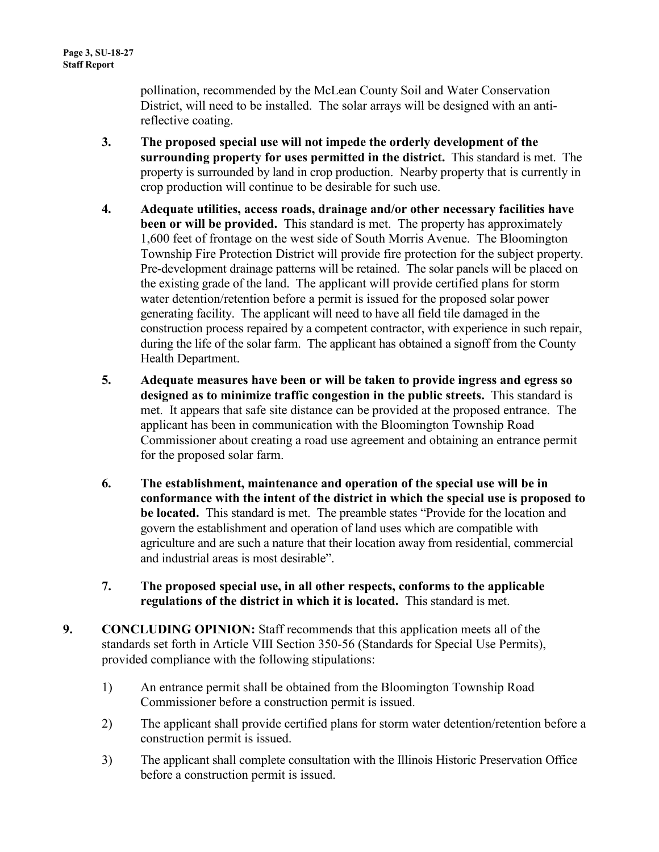pollination, recommended by the McLean County Soil and Water Conservation District, will need to be installed. The solar arrays will be designed with an antireflective coating.

- **3. The proposed special use will not impede the orderly development of the surrounding property for uses permitted in the district.** This standard is met. The property is surrounded by land in crop production. Nearby property that is currently in crop production will continue to be desirable for such use.
- **4. Adequate utilities, access roads, drainage and/or other necessary facilities have been or will be provided.** This standard is met. The property has approximately 1,600 feet of frontage on the west side of South Morris Avenue. The Bloomington Township Fire Protection District will provide fire protection for the subject property. Pre-development drainage patterns will be retained. The solar panels will be placed on the existing grade of the land. The applicant will provide certified plans for storm water detention/retention before a permit is issued for the proposed solar power generating facility. The applicant will need to have all field tile damaged in the construction process repaired by a competent contractor, with experience in such repair, during the life of the solar farm. The applicant has obtained a signoff from the County Health Department.
- **5. Adequate measures have been or will be taken to provide ingress and egress so designed as to minimize traffic congestion in the public streets.** This standard is met. It appears that safe site distance can be provided at the proposed entrance. The applicant has been in communication with the Bloomington Township Road Commissioner about creating a road use agreement and obtaining an entrance permit for the proposed solar farm.
- **6. The establishment, maintenance and operation of the special use will be in conformance with the intent of the district in which the special use is proposed to be located.** This standard is met. The preamble states "Provide for the location and govern the establishment and operation of land uses which are compatible with agriculture and are such a nature that their location away from residential, commercial and industrial areas is most desirable".
- **7. The proposed special use, in all other respects, conforms to the applicable regulations of the district in which it is located.** This standard is met.
- **9. CONCLUDING OPINION:** Staff recommends that this application meets all of the standards set forth in Article VIII Section 350-56 (Standards for Special Use Permits), provided compliance with the following stipulations:
	- 1) An entrance permit shall be obtained from the Bloomington Township Road Commissioner before a construction permit is issued.
	- 2) The applicant shall provide certified plans for storm water detention/retention before a construction permit is issued.
	- 3) The applicant shall complete consultation with the Illinois Historic Preservation Office before a construction permit is issued.